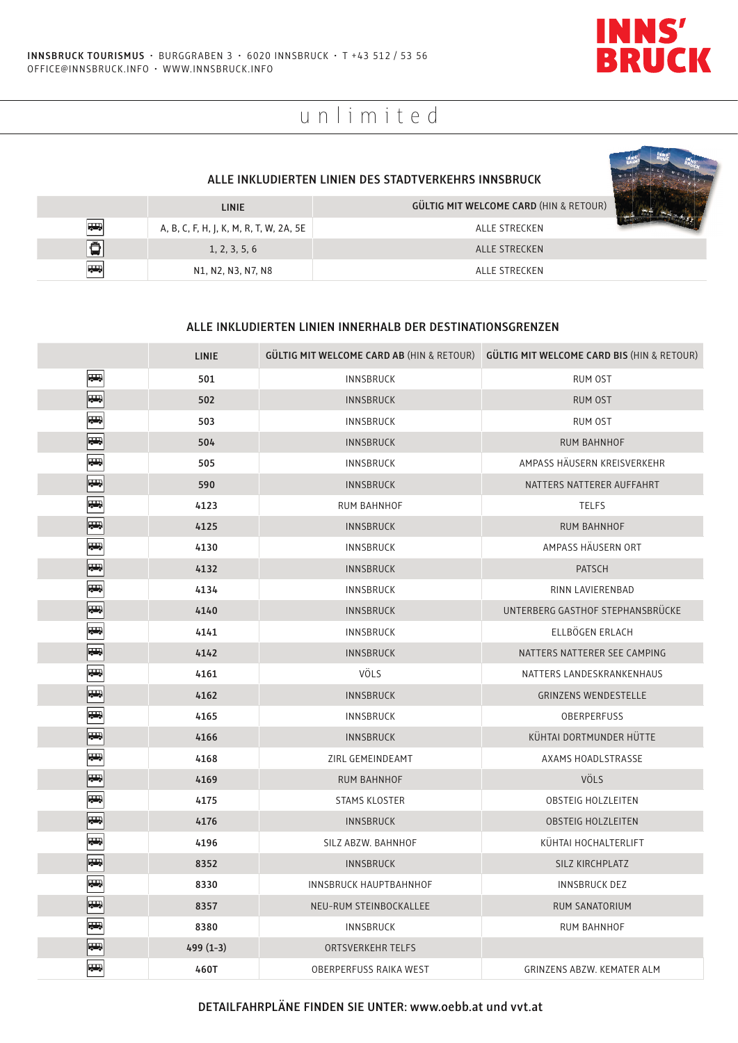

# unlimited

|                 | <b>LINIE</b>                                                                       | <b>GÜLTIG MIT WELCOME CARD (HIN &amp; RETOUR)</b> |  |
|-----------------|------------------------------------------------------------------------------------|---------------------------------------------------|--|
| $\overline{63}$ | A, B, C, F, H, J, K, M, R, T, W, 2A, 5E                                            | ALLE STRECKEN                                     |  |
| Ã               | 1, 2, 3, 5, 6                                                                      | ALLE STRECKEN                                     |  |
| <b>RAN</b>      | N <sub>1</sub> , N <sub>2</sub> , N <sub>3</sub> , N <sub>7</sub> , N <sub>8</sub> | ALLE STRECKEN                                     |  |

### **ALLE INKLUDIERTEN LINIEN INNERHALB DER DESTINATIONSGRENZEN**

|                          | <b>LINIE</b> |                          | GÜLTIG MIT WELCOME CARD AB (HIN & RETOUR) GÜLTIG MIT WELCOME CARD BIS (HIN & RETOUR) |
|--------------------------|--------------|--------------------------|--------------------------------------------------------------------------------------|
| $\overline{\phantom{a}}$ | 501          | <b>INNSBRUCK</b>         | RUM OST                                                                              |
| <b>Report</b>            | 502          | <b>INNSBRUCK</b>         | RUM OST                                                                              |
| $\frac{1}{2}$            | 503          | <b>INNSBRUCK</b>         | <b>RUM OST</b>                                                                       |
| $\overline{\phantom{a}}$ | 504          | <b>INNSBRUCK</b>         | <b>RUM BAHNHOF</b>                                                                   |
| ĻЪ,                      | 505          | INNSBRUCK                | AMPASS HÄUSERN KREISVERKEHR                                                          |
| $\overline{\phantom{a}}$ | 590          | <b>INNSBRUCK</b>         | NATTERS NATTERER AUFFAHRT                                                            |
| ŢЪ,                      | 4123         | RUM BAHNHOF              | <b>TELFS</b>                                                                         |
| $\overline{ }$           | 4125         | <b>INNSBRUCK</b>         | <b>RUM BAHNHOF</b>                                                                   |
| $\frac{1}{2}$            | 4130         | <b>INNSBRUCK</b>         | AMPASS HÄUSERN ORT                                                                   |
| $\overline{\phantom{a}}$ | 4132         | <b>INNSBRUCK</b>         | PATSCH                                                                               |
| $\overline{\phantom{a}}$ | 4134         | <b>INNSBRUCK</b>         | RINN LAVIERENBAD                                                                     |
| $\overline{\phantom{a}}$ | 4140         | <b>INNSBRUCK</b>         | UNTERBERG GASTHOF STEPHANSBRÜCKE                                                     |
| $\overline{\phantom{a}}$ | 4141         | <b>INNSBRUCK</b>         | ELLBÖGEN ERLACH                                                                      |
| $\overline{\phantom{a}}$ | 4142         | <b>INNSBRUCK</b>         | NATTERS NATTERER SEE CAMPING                                                         |
| $\frac{1}{2}$            | 4161         | <b>VÖLS</b>              | NATTERS LANDESKRANKENHAUS                                                            |
| $\overline{\phantom{a}}$ | 4162         | <b>INNSBRUCK</b>         | <b>GRINZENS WENDESTELLE</b>                                                          |
| $\overline{\phantom{a}}$ | 4165         | INNSBRUCK                | OBERPERFUSS                                                                          |
| $\overline{\phantom{a}}$ | 4166         | <b>INNSBRUCK</b>         | KÜHTAI DORTMUNDER HÜTTE                                                              |
| $\overline{\phantom{a}}$ | 4168         | ZIRL GEMEINDEAMT         | AXAMS HOADLSTRASSE                                                                   |
| $\overline{\phantom{a}}$ | 4169         | <b>RUM BAHNHOF</b>       | <b>VÖLS</b>                                                                          |
| $\frac{1}{2}$            | 4175         | <b>STAMS KLOSTER</b>     | <b>OBSTEIG HOLZLEITEN</b>                                                            |
| $\overline{\phantom{a}}$ | 4176         | <b>INNSBRUCK</b>         | <b>OBSTEIG HOLZLEITEN</b>                                                            |
| $\overline{\phantom{a}}$ | 4196         | SILZ ABZW. BAHNHOF       | KÜHTAI HOCHALTERLIFT                                                                 |
| $\overline{\phantom{a}}$ | 8352         | <b>INNSBRUCK</b>         | SILZ KIRCHPLATZ                                                                      |
| $\overline{\phantom{a}}$ | 8330         | INNSBRUCK HAUPTBAHNHOF   | INNSBRUCK DEZ                                                                        |
| $\overline{\phantom{a}}$ | 8357         | NEU-RUM STEINBOCKALLEE   | RUM SANATORIUM                                                                       |
| $\overline{\phantom{a}}$ | 8380         | INNSBRUCK                | RUM BAHNHOF                                                                          |
| $\overline{\phantom{a}}$ | $499(1-3)$   | <b>ORTSVERKEHR TELFS</b> |                                                                                      |
| <b>A</b>                 | 460T         | OBERPERFUSS RAIKA WEST   | GRINZENS ABZW. KEMATER ALM                                                           |

**DETAILFAHRPLÄNE FINDEN SIE UNTER: www.oebb.at und vvt.at**